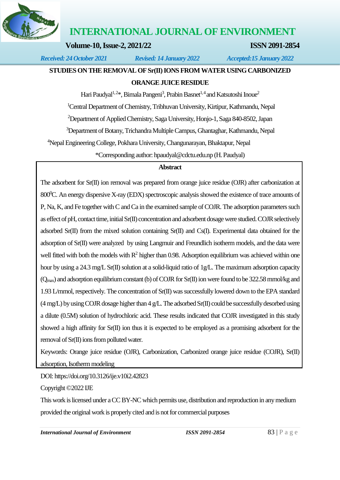

# **INTERNATIONAL JOURNAL OF ENVIRONMENT**

**Volume-10, Issue-2, 2021/22 ISSN 2091-2854**

*Received: 24 October 2021 Revised: 14 January 2022 Accepted:15 January 2022*

# **STUDIES ON THE REMOVAL OF Sr(II) IONS FROM WATER USING CARBONIZED**

# **ORANGE JUICE RESIDUE**

Hari Paudyal<sup>1,2\*</sup>, Bimala Pangeni<sup>3</sup>, Prabin Basnet<sup>1,4</sup> and Katsutoshi Inoue<sup>2</sup>

<sup>1</sup>Central Department of Chemistry, Tribhuvan University, Kirtipur, Kathmandu, Nepal

<sup>2</sup>Department of Applied Chemistry, Saga University, Honjo-1, Saga 840-8502, Japan

<sup>3</sup>Department of Botany, Trichandra Multiple Campus, Ghantaghar, Kathmandu, Nepal

<sup>4</sup>Nepal Engineering College, Pokhara University, Changunarayan, Bhaktapur, Nepal

\*Corresponding author[: hpaudyal@cdctu.edu.np](mailto:hpaudyal@cdctu.edu.np) (H. Paudyal)

# **Abstract**

The adsorbent for Sr(II) ion removal was prepared from orange juice residue (OJR) after carbonization at 800<sup>o</sup>C. An energy dispersive X-ray (EDX) spectroscopic analysis showed the existence of trace amounts of P, Na, K, and Fe together with C and Ca in the examined sample of COJR. The adsorption parameters such as effect of pH, contact time, initial Sr(II) concentration and adsorbent dosage were studied. COJR selectively adsorbed Sr(II) from the mixed solution containing Sr(II) and Cs(I). Experimental data obtained for the adsorption of Sr(II) were analyzed by using Langmuir and Freundlich isotherm models, and the data were well fitted with both the models with  $R^2$  higher than 0.98. Adsorption equilibrium was achieved within one hour by using a 24.3 mg/L Sr(II) solution at a solid-liquid ratio of 1g/L. The maximum adsorption capacity (Qmax) and adsorption equilibrium constant (b) of COJR for Sr(II) ion were found to be 322.58 mmol/kg and 1.93 L/mmol, respectively. The concentration of Sr(II) was successfully lowered down to the EPA standard  $(4 \text{ mg/L})$  by using COJR dosage higher than  $4 \text{ g/L}$ . The adsorbed Sr(II) could be successfully desorbed using a dilute (0.5M) solution of hydrochloric acid. These results indicated that COJR investigated in this study showed a high affinity for Sr(II) ion thus it is expected to be employed as a promising adsorbent for the removal of Sr(II) ions from polluted water.

Keywords: Orange juice residue (OJR), Carbonization, Carbonized orange juice residue (COJR), Sr(II) adsorption, Isotherm modeling

DOI[: https://doi.org/10.3126/ije.v10i2.42823](https://doi.org/10.3126/ije.v10i2.42823)

Copyright ©2022 IJE

This work is licensed under a CC BY-NC which permits use, distribution and reproduction in any medium provided the original work is properly cited and is not for commercial purposes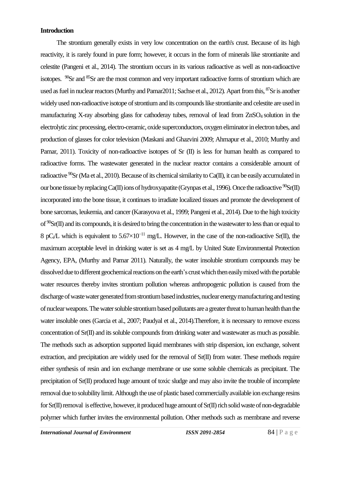# **Introduction**

The strontium generally exists in very low concentration on the earth's crust. Because of its high reactivity, it is rarely found in pure form; however, it occurs in the form of minerals like strontianite and celestite (Pangeni et al., 2014). The strontium occurs in its various radioactive as well as non-radioactive isotopes.  $^{90}$ Sr and  $^{85}$ Sr are the most common and very important radioactive forms of strontium which are used as fuel in nuclear reactors (Murthy and Pamar2011; Sachse et al., 2012). Apart from this, <sup>87</sup>Sr is another widely used non-radioactive isotope of strontium and its compounds like strontianite and celestite are used in manufacturing X-ray absorbing glass for cathoderay tubes, removal of lead from ZnSO<sub>4</sub> solution in the electrolytic zinc processing, electro-ceramic, oxide superconductors, oxygen eliminator in electron tubes, and production of glasses for color television (Maskani and Ghazvini 2009; Ahmapur et al., 2010; Murthy and Pamar, 2011). Toxicity of non-radioactive isotopes of Sr (II) is less for human health as compared to radioactive forms. The wastewater generated in the nuclear reactor contains a considerable amount of radioactive  ${}^{90}Sr$  (Ma et al., 2010). Because of its chemical similarity to Ca(II), it can be easily accumulated in our bone tissue by replacing Ca(II) ions of hydroxyapatite (Grynpas et al., 1996). Once the radioactive  ${}^{90}Sr(II)$ incorporated into the bone tissue, it continues to irradiate localized tissues and promote the development of bone sarcomas, leukemia, and cancer (Karasyova et al., 1999; Pangeni et al., 2014). Due to the high toxicity of  $\rm{^{90}Sr(II)}$  and its compounds, it is desired to bring the concentration in the wastewater to less than or equal to 8 pC<sub>i</sub>/L which is equivalent to 5.67×10<sup>-11</sup> mg/L. However, in the case of the non-radioactive Sr(II), the maximum acceptable level in drinking water is set as 4 mg/L by United State Environmental Protection Agency, EPA, (Murthy and Pamar 2011). Naturally, the water insoluble strontium compounds may be dissolved due to different geochemical reactions on the earth'scrust which then easily mixed with the portable water resources thereby invites strontium pollution whereas anthropogenic pollution is caused from the discharge of waste water generated from strontium based industries, nuclear energy manufacturing and testing of nuclear weapons. The water soluble strontium based pollutants are a greater threat to human health than the water insoluble ones (Garcia et al., 2007; Paudyal et al., 2014).Therefore, it is necessary to remove excess concentration of Sr(II) and its soluble compounds from drinking water and wastewater as much as possible. The methods such as adsorption supported liquid membranes with strip dispersion, ion exchange, solvent extraction, and precipitation are widely used for the removal of Sr(II) from water. These methods require either synthesis of resin and ion exchange membrane or use some soluble chemicals as precipitant. The precipitation of Sr(II) produced huge amount of toxic sludge and may also invite the trouble of incomplete removal due to solubility limit. Although the use of plastic based commercially available ion exchange resins for Sr(II) removal is effective, however, it produced huge amount of Sr(II) rich solid waste of non-degradable polymer which further invites the environmental pollution. Other methods such as membrane and reverse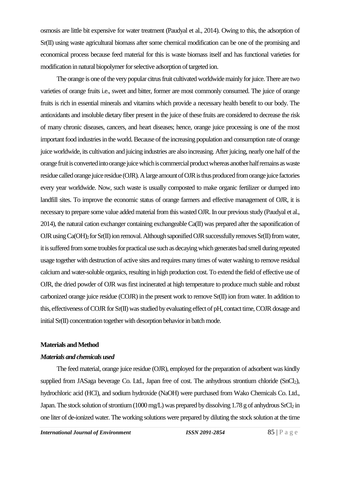osmosis are little bit expensive for water treatment (Paudyal et al., 2014). Owing to this, the adsorption of Sr(II) using waste agricultural biomass after some chemical modification can be one of the promising and economical process because feed material for this is waste biomass itself and has functional varieties for modification in natural biopolymer for selective adsorption of targeted ion.

The orange is one of the very popular citrus fruit cultivated worldwide mainly for juice. There are two varieties of orange fruits i.e., sweet and bitter, former are most commonly consumed. The juice of orange fruits is rich in essential minerals and vitamins which provide a necessary health benefit to our body. The antioxidants and insoluble dietary fiber present in the juice of these fruits are considered to decrease the risk of many chronic diseases, cancers, and heart diseases; hence, orange juice processing is one of the most important food industries in the world. Because of the increasing population and consumption rate of orange juice worldwide, its cultivation and juicing industries are also increasing. After juicing, nearly one half of the orange fruit is converted into orange juice which is commercial product whereas another half remains as waste residue called orange juice residue (OJR). A large amount of OJR is thus produced from orange juice factories every year worldwide. Now, such waste is usually composted to make organic fertilizer or dumped into landfill sites. To improve the economic status of orange farmers and effective management of OJR, it is necessary to prepare some value added material from this wasted OJR. In our previous study (Paudyal et al., 2014), the natural cation exchanger containing exchangeable Ca(II) was prepared after the saponification of OJR using Ca(OH)<sub>2</sub> for Sr(II) ion removal. Although saponified OJR successfully removes Sr(II) from water, it is suffered from some troubles for practical use such as decaying which generates bad smell during repeated usage together with destruction of active sites and requires many times of water washing to remove residual calcium and water-soluble organics, resulting in high production cost. To extend the field of effective use of OJR, the dried powder of OJR was first incinerated at high temperature to produce much stable and robust carbonized orange juice residue (COJR) in the present work to remove Sr(II) ion from water. In addition to this, effectiveness of COJR for Sr(II) was studied by evaluating effect of pH, contact time, COJR dosage and initial Sr(II) concentration together with desorption behavior in batch mode.

#### **Materials and Method**

# *Materials and chemicals used*

The feed material, orange juice residue (OJR), employed for the preparation of adsorbent was kindly supplied from JASaga beverage Co. Ltd., Japan free of cost. The anhydrous strontium chloride (SnCl<sub>2</sub>), hydrochloric acid (HCl), and sodium hydroxide (NaOH) were purchased from Wako Chemicals Co. Ltd., Japan. The stock solution of strontium (1000 mg/L) was prepared by dissolving 1.78 g of anhydrous SrCl<sub>2</sub> in one liter of de-ionized water. The working solutions were prepared by diluting the stock solution at the time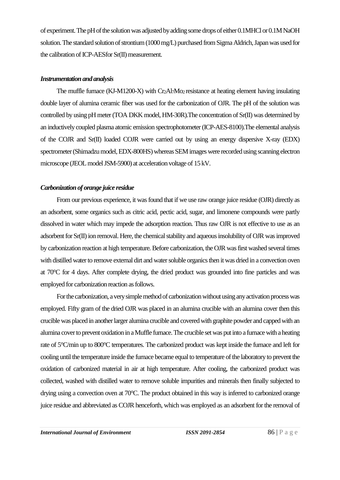of experiment. The pH of the solution was adjusted by adding some drops of either 0.1MHCl or 0.1M NaOH solution. The standard solution of strontium (1000 mg/L) purchased from Sigma Aldrich, Japan was used for the calibration of ICP-AESfor Sr(II) measurement.

# *Instrumentation and analysis*

The muffle furnace (KJ-M1200-X) with  $Cr_2Al_7Mo_2$  resistance at heating element having insulating double layer of alumina ceramic fiber was used for the carbonization of OJR. The pH of the solution was controlled by using pH meter (TOA DKK model, HM-30R).The concentration of Sr(II) was determined by an inductively coupled plasma atomic emission spectrophotometer (ICP-AES-8100).The elemental analysis of the COJR and Sr(II) loaded COJR were carried out by using an energy dispersive X-ray (EDX) spectrometer (Shimadzu model, EDX-800HS) whereas SEM images were recorded using scanning electron microscope (JEOL model JSM-5900) at acceleration voltage of 15 kV.

# *Carbonization of orange juice residue*

From our previous experience, it was found that if we use raw orange juice residue (OJR) directly as an adsorbent, some organics such as citric acid, pectic acid, sugar, and limonene compounds were partly dissolved in water which may impede the adsorption reaction. Thus raw OJR is not effective to use as an adsorbent for Sr(II) ion removal. Here, the chemical stability and aqueous insolubility of OJR was improved by carbonization reaction at high temperature. Before carbonization, the OJR was first washed several times with distilled water to remove external dirt and water soluble organics then it was dried in a convection oven at 70°C for 4 days. After complete drying, the dried product was grounded into fine particles and was employed for carbonization reaction as follows.

For the carbonization, a very simple method of carbonization without using any activation process was employed. Fifty gram of the dried OJR was placed in an alumina crucible with an alumina cover then this crucible was placed in another larger alumina crucible and covered with graphite powder and capped with an alumina cover to prevent oxidation in a Muffle furnace. The crucible set was put into a furnace with a heating rate of 5°C/min up to 800°C temperatures. The carbonized product was kept inside the furnace and left for cooling until the temperature inside the furnace became equal to temperature of the laboratory to prevent the oxidation of carbonized material in air at high temperature. After cooling, the carbonized product was collected, washed with distilled water to remove soluble impurities and minerals then finally subjected to drying using a convection oven at 70°C. The product obtained in this way is inferred to carbonized orange juice residue and abbreviated as COJR henceforth, which was employed as an adsorbent for the removal of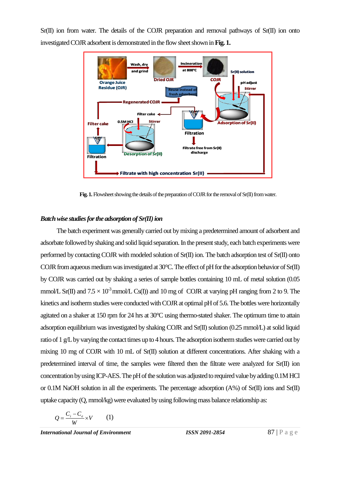Sr(II) ion from water. The details of the COJR preparation and removal pathways of Sr(II) ion onto investigated COJR adsorbent is demonstrated in the flow sheet shown in **Fig. 1.**



Fig. 1. Flowsheet showing the details of the preparation of COJR for the removal of Sr(II) from water.

### *Batch wise studies for the adsorption of Sr(II) ion*

The batch experiment was generally carried out by mixing a predetermined amount of adsorbent and adsorbate followed by shaking and solid liquid separation. In the present study, each batch experiments were performed by contacting COJR with modeled solution of Sr(II) ion. The batch adsorption test of Sr(II) onto COJR from aqueous mediumwas investigated at 30°C. The effect of pH forthe adsorption behavior of Sr(II) by COJR was carried out by shaking a series of sample bottles containing 10 mL of metal solution (0.05 mmol/L Sr(II) and  $7.5 \times 10^{-3}$  mmol/L Cs(I)) and 10 mg of COJR at varying pH ranging from 2 to 9. The kinetics and isotherm studies were conducted with COJR at optimal pH of 5.6. The bottles were horizontally agitated on a shaker at 150 rpm for 24 hrs at 30°C using thermo-stated shaker. The optimum time to attain adsorption equilibrium was investigated by shaking COJR and Sr(II) solution (0.25 mmol/L) at solid liquid ratio of 1 g/L by varying the contact times up to 4 hours. The adsorption isotherm studies were carried out by mixing 10 mg of COJR with 10 mL of Sr(II) solution at different concentrations. After shaking with a predetermined interval of time, the samples were filtered then the filtrate were analyzed for Sr(II) ion concentration by using ICP-AES.The pH of the solution was adjusted to required value by adding0.1M HCl or 0.1M NaOH solution in all the experiments. The percentage adsorption (A%) of Sr(II) ions and Sr(II) uptake capacity (Q, mmol/kg) were evaluated by using following mass balance relationship as:

$$
Q = \frac{C_i - C_e}{W} \times V \qquad (1)
$$

*International Journal of Environment ISSN 2091-2854* **87 | P a g e**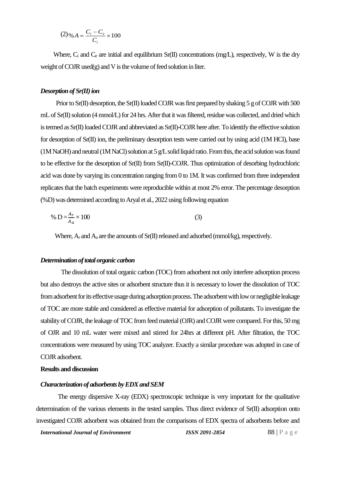$$
(2) \% A = \frac{C_i - C_e}{C_i} \times 100
$$

Where,  $C_i$  and  $C_e$  are initial and equilibrium Sr(II) concentrations (mg/L), respectively, W is the dry weight of COJR used $(g)$  and V is the volume of feed solution in liter.

#### *Desorption of Sr(II) ion*

Prior to Sr(II) desorption, the Sr(II) loaded COJR was first prepared by shaking 5 g of COJR with 500 mL of Sr(II) solution (4 mmol/L) for 24 hrs. After that it was filtered, residue was collected, and dried which is termed as Sr(II) loaded COJR and abbreviated as Sr(II)-COJR here after.To identify the effective solution for desorption of Sr(II) ion, the preliminary desorption tests were carried out by using acid (1M HCl), base (1M NaOH) and neutral (1M NaCl) solution at  $5$  g/L solid liquid ratio. From this, the acid solution was found to be effective for the desorption of Sr(II) from Sr(II)-COJR. Thus optimization of desorbing hydrochloric acid was done by varying its concentration ranging from 0 to 1M. It was confirmed from three independent replicates that the batch experiments were reproducible within at most 2% error. The percentage desorption (%D) was determined according to Aryal et al., 2022 using following equation

% 
$$
D = \frac{A_r}{A_a} \times 100
$$
 (3)

Where,  $A_r$  and  $A_a$  are the amounts of Sr(II) released and adsorbed (mmol/kg), respectively.

#### *Determination of total organic carbon*

The dissolution of total organic carbon (TOC) from adsorbent not only interfere adsorption process but also destroys the active sites or adsorbent structure thus it is necessary to lower the dissolution of TOC from adsorbent for its effective usage during adsorption process. The adsorbent with low or negligible leakage of TOC are more stable and considered as effective material for adsorption of pollutants. To investigate the stability of COJR, the leakage of TOC from feed material (OJR) and COJR were compared. For this, 50 mg of OJR and 10 mL water were mixed and stirred for 24hrs at different pH. After filtration, the TOC concentrations were measured by using TOC analyzer. Exactly a similar procedure was adopted in case of COJR adsorbent.

#### **Results and discussion**

#### *Characterization of adsorbents by EDX and SEM*

The energy dispersive X-ray (EDX) spectroscopic technique is very important for the qualitative determination of the various elements in the tested samples. Thus direct evidence of Sr(II) adsorption onto investigated COJR adsorbent was obtained from the comparisons of EDX spectra of adsorbents before and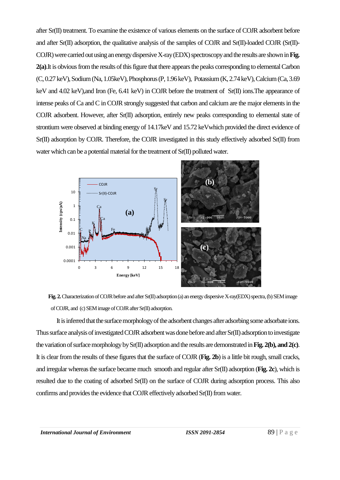after Sr(II) treatment. To examine the existence of various elements on the surface of COJR adsorbent before and after Sr(II) adsorption, the qualitative analysis of the samples of COJR and Sr(II)-loaded COJR (Sr(II)- COJR) were carried out using an energy dispersive X-ray (EDX) spectroscopy and the results are shown in Fig. **2(a)**.It is obvious from the results of this figure that there appears the peaks corresponding to elemental Carbon (C, 0.27 keV), Sodium (Na, 1.05keV), Phosphorus (P, 1.96 keV), Potassium (K, 2.74 keV), Calcium(Ca, 3.69 keV and 4.02 keV),and Iron (Fe, 6.41 keV) in COJR before the treatment of Sr(II) ions. The appearance of intense peaks of Ca and C in COJR strongly suggested that carbon and calcium are the major elements in the COJR adsorbent. However, after Sr(II) adsorption, entirely new peaks corresponding to elemental state of strontium were observed at binding energy of 14.17keV and 15.72 keVwhich provided the direct evidence of Sr(II) adsorption by COJR. Therefore, the COJR investigated in this study effectively adsorbed Sr(II) from water which can be a potential material for the treatment of  $Sr(II)$  polluted water.





It is inferred that the surface morphology of the adsorbent changes after adsorbing some adsorbate ions. Thus surface analysis of investigated COJR adsorbent was done before and after Sr(II) adsorption to investigate the variation of surface morphology by Sr(II) adsorption and the results are demonstrated in **Fig. 2(b), and 2(c)**. It is clear from the results of these figures that the surface of COJR (**Fig. 2b**) is a little bit rough, small cracks, and irregular whereas the surface became much smooth and regular after Sr(II) adsorption (**Fig. 2c**), which is resulted due to the coating of adsorbed Sr(II) on the surface of COJR during adsorption process. This also confirms and provides the evidence that COJR effectively adsorbed Sr(II) from water.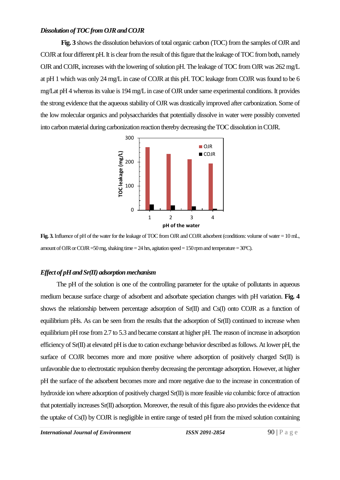#### *Dissolution of TOC from OJR and COJR*

**Fig. 3** shows the dissolution behaviors of total organic carbon (TOC) from the samples of OJR and COJR at four different pH. It is clear from the result of this figure that the leakage of TOC from both, namely OJR and COJR, increases with the lowering of solution pH. The leakage of TOC from OJR was 262 mg/L at pH 1 which was only 24 mg/L in case of COJR at this pH. TOC leakage from COJR was found to be 6 mg/Lat pH 4 whereas its value is 194 mg/L in case of OJR under same experimental conditions. It provides the strong evidence that the aqueous stability of OJR was drastically improved after carbonization. Some of the low molecular organics and polysaccharides that potentially dissolve in water were possibly converted into carbon material during carbonization reaction thereby decreasing the TOC dissolution in COJR.



**Fig. 3.** Influence of pH of the water for the leakage of TOC from OJR and COJR adsorbent (conditions: volume of water = 10 mL, amount of OJR or COJR = 50 mg, shaking time = 24 hrs, agitation speed = 150 rpm and temperature =  $30^{\circ}$ C).

#### *Effect of pH and Sr(II) adsorption mechanism*

The pH of the solution is one of the controlling parameter for the uptake of pollutants in aqueous medium because surface charge of adsorbent and adsorbate speciation changes with pH variation. **Fig. 4** shows the relationship between percentage adsorption of  $Sr(II)$  and  $Cs(I)$  onto COJR as a function of equilibrium pHs. As can be seen from the results that the adsorption of Sr(II) continued to increase when equilibrium pH rose from 2.7 to 5.3 and became constant at higher pH. The reason of increase in adsorption efficiency of Sr(II) at elevated pH is due to cation exchange behavior described as follows. At lower pH, the surface of COJR becomes more and more positive where adsorption of positively charged Sr(II) is unfavorable due to electrostatic repulsion thereby decreasing the percentage adsorption. However, at higher pH the surface of the adsorbent becomes more and more negative due to the increase in concentration of hydroxide ion where adsorption of positively charged Sr(II) is more feasible *via* columbic force of attraction that potentially increases Sr(II) adsorption. Moreover, the result of this figure also provides the evidence that the uptake of Cs(I) by COJR is negligible in entire range of tested pH from the mixed solution containing

*International Journal of Environment ISSN 2091-2854* **90 | P a g e**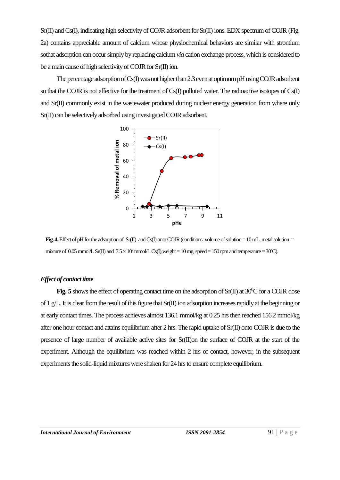Sr(II) and Cs(I), indicating high selectivity of COJR adsorbent for Sr(II) ions. EDX spectrum of COJR (Fig. 2a) contains appreciable amount of calcium whose physiochemical behaviors are similar with strontium sothat adsorption can occur simply by replacing calcium *via* cation exchange process, which is considered to be amain cause of high selectivity of COJR for Sr(II) ion.

The percentage adsorption of Cs(I) was not higher than 2.3 even at optimum pH using COJR adsorbent so that the COJR is not effective for the treatment of Cs(I) polluted water. The radioactive isotopes of Cs(I) and Sr(II) commonly exist in the wastewater produced during nuclear energy generation from where only Sr(II) can be selectively adsorbed using investigated COJR adsorbent.



**Fig. 4.** Effect of pH for the adsorption of Sr(II) and Cs(I) onto COJR (conditions: volume of solution = 10 mL, metal solution = mixture of 0.05 mmol/L Sr(II) and  $7.5 \times 10^3$ mmol/L Cs(I),weight = 10 mg, speed = 150 rpm and temperature = 30°C).

# *Effect of contact time*

**Fig. 5** shows the effect of operating contact time on the adsorption of  $Sr(II)$  at  $30^{\circ}C$  for a COJR dose of 1 g/L. It is clear from the result of this figure that Sr(II) ion adsorption increases rapidly at the beginning or at early contact times. The process achieves almost 136.1 mmol/kg at 0.25 hrs then reached 156.2 mmol/kg after one hour contact and attains equilibrium after 2 hrs. The rapid uptake of Sr(II) onto COJR is due to the presence of large number of available active sites for Sr(II)on the surface of COJR at the start of the experiment. Although the equilibrium was reached within 2 hrs of contact, however, in the subsequent experiments the solid-liquid mixtures were shaken for 24 hrs to ensure complete equilibrium.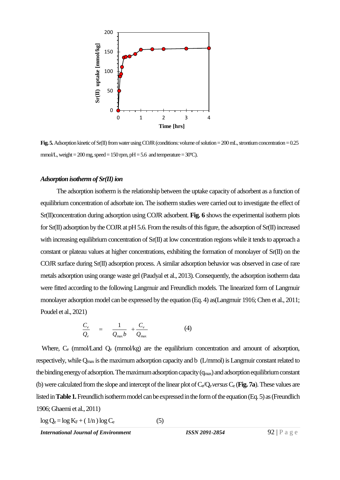

**Fig. 5.** Adsorption kinetic of Sr(II) from water using COJR (conditions: volume of solution = 200 mL, strontium concentration = 0.25 mmol/L, weight =  $200$  mg, speed =  $150$  rpm, pH =  $5.6$  and temperature =  $30^{\circ}$ C).

#### Adsorption isotherm of Sr(II) ion

The adsorption isotherm is the relationship between the uptake capacity of adsorbent as a function of equilibrium concentration of adsorbate ion. The isotherm studies were carried out to investigate the effect of Sr(II)concentration during adsorption using COJR adsorbent. **Fig. 6** shows the experimental isotherm plots for Sr(II) adsorption by the COJR at pH 5.6. From the results of this figure, the adsorption of Sr(II) increased with increasing equilibrium concentration of  $Sr(\Pi)$  at low concentration regions while it tends to approach a constant or plateau values at higher concentrations, exhibiting the formation of monolayer of Sr(II) on the COJR surface during Sr(II) adsorption process. A similar adsorption behavior was observed in case of rare metals adsorption using orange waste gel (Paudyal et al., 2013). Consequently, the adsorption isotherm data were fitted according to the following Langmuir and Freundlich models. The linearized form of Langmuir monolayer adsorption model can be expressed by the equation (Eq. 4) as(Langmuir 1916; Chen et al., 2011; Poudel et al., 2021)

$$
\frac{C_e}{Q_e} = \frac{1}{Q_{\text{max}}b} + \frac{C_e}{Q_{\text{max}}}
$$
 (4)

Where, C<sub>e</sub> (mmol/Land Q<sub>e</sub> (mmol/kg) are the equilibrium concentration and amount of adsorption, respectively, while Q<sub>max</sub> is the maximum adsorption capacity and b (L/mmol) is Langmuir constant related to the binding energy of adsorption. The maximum adsorption capacity (q<sub>max</sub>) and adsorption equilibrium constant (b) were calculated from the slope and intercept of the linear plot of  $C_e/Q_e$ *versus*  $C_e$  (**Fig. 7a**). These values are listed in **Table 1.**Freundlich isotherm model can be expressed in the form of the equation (Eq. 5) as (Freundlich 1906; Ghaemi et al., 2011)

 $\log Q_e = \log K_F + (1/n) \log C_e$  (5)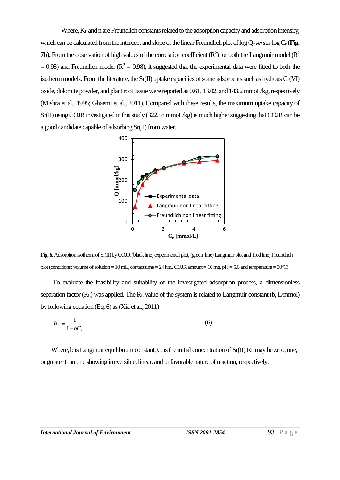Where,  $K_F$  and n are Freundlich constants related to the adsorption capacity and adsorption intensity, which can be calculated from the intercept and slope of the linear Freundlich plot of log  $Q_e$ *versus* log  $C_e$  (**Fig. 7b).** From the observation of high values of the correlation coefficient  $(R^2)$  for both the Langmuir model  $(R^2)$  $= 0.98$ ) and Freundlich model ( $R^2 = 0.98$ ), it suggested that the experimental data were fitted to both the isotherm models. From the literature, the Sr(II) uptake capacities of some adsorbents such as hydrous Cr(VI) oxide, dolomite powder, and plant root tissue were reported as 0.61, 13.02, and 143.2 mmoL/kg, respectively (Mishra et al., 1995; Ghaemi et al., 2011). Compared with these results, the maximum uptake capacity of Sr(II) using COJR investigated in this study (322.58 mmoL/kg) is much higher suggesting that COJR can be a good candidate capable of adsorbing Sr(II) from water.





To evaluate the feasibility and suitability of the investigated adsorption process, a dimensionless separation factor  $(R_L)$  was applied. The  $R_L$  value of the system is related to Langmuir constant (b, L/mmol) by following equation (Eq. 6) as (Xia et al., 2011)

$$
R_L = \frac{1}{1 + bC_i} \tag{6}
$$

Where, b is Langmuir equilibrium constant,  $C_i$  is the initial concentration of  $Sr(II).R_L$  may be zero, one, or greater than one showing irreversible, linear, and unfavorable nature of reaction, respectively.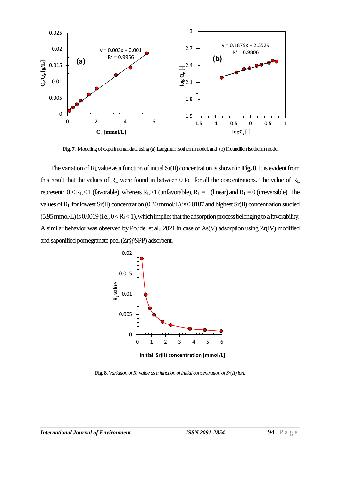

**Fig. 7.** Modeling of experimentaldata using (a) Langmuir isotherm model, and (b) Freundlichisotherm model.

The variation of RLvalue as a function of initial Sr(II) concentration is shown in **Fig. 8**. It is evident from this result that the values of  $R_L$  were found in between 0 to1 for all the concentrations. The value of  $R_L$ represent:  $0 < R_L < 1$  (favorable), whereas  $R_L > 1$  (unfavorable),  $R_L = 1$  (linear) and  $R_L = 0$  (irreversible). The values of R<sup>L</sup> for lowest Sr(II) concentration (0.30 mmol/L) is 0.0187 and highest Sr(II) concentration studied  $(5.95 \text{ mmol/L})$  is  $0.0009$  (i.e.,  $0 < R_{\text{L}} < 1$ ), which implies that the adsorption process belonging to a favorability. A similar behavior was observed by Poudel et al., 2021 in case of As(V) adsorption using Zr(IV) modified and saponified pomegranate peel (Zr@SPP) adsorbent.



**Initial Sr(II) concentration [mmol/L]**

**Fig. 8.** *Variation of R<sup>L</sup> value as a function of initial concentration of Sr(II) ion.*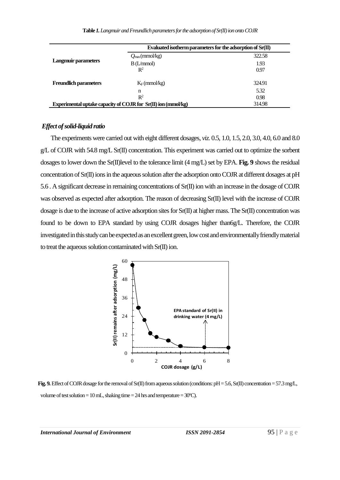|                                                               | Evaluated isotherm parameters for the adsorption of $Sr(II)$ |        |
|---------------------------------------------------------------|--------------------------------------------------------------|--------|
| <b>Langmuir parameters</b>                                    | $Q_{\text{max}}$ (mmol/kg)                                   | 322.58 |
|                                                               | B(L/mmol)                                                    | 1.93   |
|                                                               | $\mathbb{R}^2$                                               | 0.97   |
| <b>Freundlich parameters</b>                                  | $K_F$ (mmol/kg)                                              | 324.91 |
|                                                               | n                                                            | 5.32   |
|                                                               | $\mathbb{R}^2$                                               | 0.98   |
| Experimental uptake capacity of COJR for Sr(II) ion (mmol/kg) |                                                              | 314.98 |

#### *Effect of solid-liquid ratio*

The experiments were carried out with eight different dosages, *viz.* 0.5, 1.0, 1.5, 2.0, 3.0, 4.0, 6.0 and 8.0 g/L of COJR with 54.8 mg/L Sr(II) concentration. This experiment was carried out to optimize the sorbent dosages to lower down the Sr(II)level to the tolerance limit (4 mg/L) set by EPA. **Fig. 9** shows the residual concentration of Sr(II) ions in the aqueous solution after the adsorption onto COJR at different dosages at pH 5.6 . A significant decrease in remaining concentrations of Sr(II) ion with an increase in the dosage of COJR was observed as expected after adsorption. The reason of decreasing Sr(II) level with the increase of COJR dosage is due to the increase of active adsorption sites for Sr(II) at higher mass. The Sr(II) concentration was found to be down to EPA standard by using COJR dosages higher than6g/L. Therefore, the COJR investigated in this study can be expected as an excellent green, low cost and environmentally friendly material to treat the aqueous solution contaminated with Sr(II) ion.



Fig. 9. Effect of COJR dosage for the removal of Sr(II) from aqueous solution (conditions: pH = 5.6, Sr(II) concentration = 57.3 mg/L, volume of test solution = 10 mL, shaking time =  $24$  hrs and temperature =  $30^{\circ}$ C).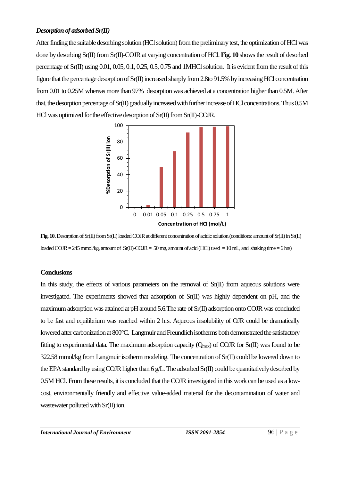# *Desorption of adsorbed Sr(II)*

After finding the suitable desorbing solution (HCl solution) from the preliminary test, the optimization of HCl was done by desorbing Sr(II) from Sr(II)-COJR at varying concentration of HCl. **Fig. 10** shows the result of desorbed percentage of Sr(II) using 0.01, 0.05, 0.1, 0.25, 0.5, 0.75 and 1MHCl solution. It is evident from the result of this figure that the percentage desorption of Sr(II) increased sharply from 2.8to 91.5% by increasing HCl concentration from 0.01 to 0.25M whereas more than 97% desorption was achieved at a concentration higher than 0.5M. After that, the desorption percentage of Sr(II) gradually increased with further increase of HCl concentrations. Thus 0.5M HCl was optimized for the effective desorption of Sr(II) from Sr(II)-COJR.



**Fig.10.**Desorption of Sr(II) from Sr(II) loaded COJR at different concentration of acidic solution.(conditions: amount of Sr(II) in Sr(II) loaded COJR = 245 mmol/kg, amount of  $Sr(II)-COJR = 50$  mg, amount of acid (HCl) used = 10 mL, and shaking time = 6 hrs)

# **Conclusions**

In this study, the effects of various parameters on the removal of Sr(II) from aqueous solutions were investigated. The experiments showed that adsorption of Sr(II) was highly dependent on pH, and the maximum adsorption was attained at pH around 5.6.The rate of Sr(II) adsorption onto COJR was concluded to be fast and equilibrium was reached within 2 hrs. Aqueous insolubility of OJR could be dramatically lowered after carbonization at 800°C. Langmuir and Freundlich isotherms both demonstrated the satisfactory fitting to experimental data. The maximum adsorption capacity  $(Q_{\text{max}})$  of COJR for Sr(II) was found to be 322.58 mmol/kg from Langmuir isotherm modeling. The concentration of Sr(II) could be lowered down to the EPA standard by using COJR higher than 6 g/L.The adsorbed Sr(II) could be quantitatively desorbed by 0.5M HCl. From these results, it is concluded that the COJR investigated in this work can be used as a lowcost, environmentally friendly and effective value-added material for the decontamination of water and wastewater polluted with Sr(II) ion.

*International Journal of Environment ISSN 2091-2854* **96 | P a g e**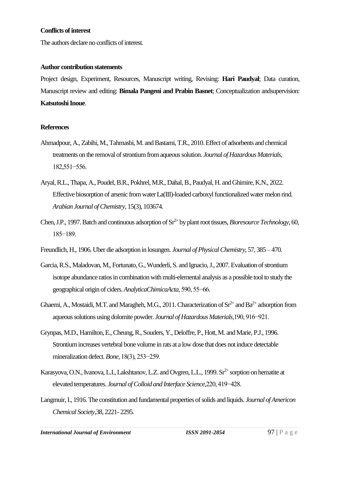### **Conflicts of interest**

The authors declare no conflicts of interest.

### **Author contribution statements**

Project design, Experiment, Resources, Manuscript writing, Revising: **Hari Paudyal**; Data curation, Manuscript review and editing: **Bimala Pangeni and Prabin Basnet**; Conceptualization andsupervision: **Katsutoshi Inoue**.

# **References**

- Ahmadpour, A., Zabihi, M., Tahmasbi, M. and Bastami, T.R., 2010. Effect of adsorbents and chemical treatments on the removal of strontium from aqueous solution. *Journal of Hazardous Materials,* 182,551−556.
- Aryal, R.L., Thapa, A., Poudel, B.R., Pokhrel, M.R., Dahal, B., Paudyal, H. and Ghimire, K.N., 2022. Effective biosorption of arsenic from water La(III)-loaded carboxyl functionalized water melon rind. *Arabian Journal of Chemistry*, 15(3), 103674.
- Chen, J.P., 1997. Batch and continuous adsorption of Sr<sup>2+</sup> by plant root tissues, *Bioresource Technology*, 60, 185−189.
- Freundlich, H., 1906. Uber die adsorption in losungen. *Journal of Physical Chemistry,* 57, 385 470.
- Garcia, R.S., Maladovan, M., Fortunato, G., Wunderli, S. and Ignacio, J., 2007. Evaluation of strontium isotope abundance ratios in combination with multi-elemental analysis as a possible tool to study the geographical origin of ciders. *AnalyticaChimicaActa,* 590, 55−66.
- Ghaemi, A., Mostaidi, M.T. and Maragheh, M.G., 2011. Characterization of  $\text{Sr}^{2+}$  and  $\text{Ba}^{2+}$  adsorption from aqueous solutions using dolomite powder. *Journal of Hazardous Materials,*190, 916−921.
- Grynpas, M.D., Hamilton, E., Cheung, R., Souders, Y., Deloffre, P., Hott, M. and Marie, P.J., 1996. Strontium increases vertebral bone volume in rats at a low dose that does not induce detectable mineralization defect. *Bone,* 18(3), 253−259.
- Karasyova, O.N., Ivanova, L.I., Lakshtanov, L.Z. and Ovgren, L.L., 1999. Sr<sup>2+</sup> sorption on hematite at elevated temperatures. *Journal of Colloid and Interface Science,*220, 419−428.
- Langmuir, I., 1916. The constitution and fundamental properties of solids and liquids. *Journal of Americon Chemical Society,*38, 2221- 2295.

*International Journal of Environment ISSN 2091-2854* 97 | P a g e